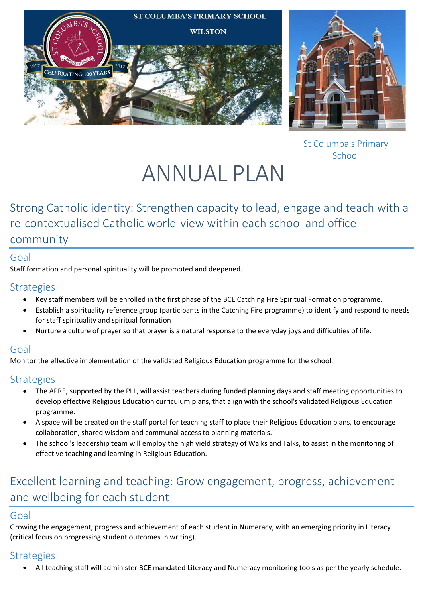



St Columba's Primary School

# ANNUAL PLAN

# Strong Catholic identity: Strengthen capacity to lead, engage and teach with a re-contextualised Catholic world-view within each school and office

## community

## Goal

Staff formation and personal spirituality will be promoted and deepened.

#### **Strategies**

- Key staff members will be enrolled in the first phase of the BCE Catching Fire Spiritual Formation programme.
- Establish a spirituality reference group (participants in the Catching Fire programme) to identify and respond to needs for staff spirituality and spiritual formation
- Nurture a culture of prayer so that prayer is a natural response to the everyday joys and difficulties of life.

## Goal

Monitor the effective implementation of the validated Religious Education programme for the school.

## **Strategies**

- The APRE, supported by the PLL, will assist teachers during funded planning days and staff meeting opportunities to develop effective Religious Education curriculum plans, that align with the school's validated Religious Education programme.
- A space will be created on the staff portal for teaching staff to place their Religious Education plans, to encourage collaboration, shared wisdom and communal access to planning materials.
- The school's leadership team will employ the high yield strategy of Walks and Talks, to assist in the monitoring of effective teaching and learning in Religious Education.

# Excellent learning and teaching: Grow engagement, progress, achievement and wellbeing for each student

## Goal

Growing the engagement, progress and achievement of each student in Numeracy, with an emerging priority in Literacy (critical focus on progressing student outcomes in writing).

# **Strategies**

All teaching staff will administer BCE mandated Literacy and Numeracy monitoring tools as per the yearly schedule.